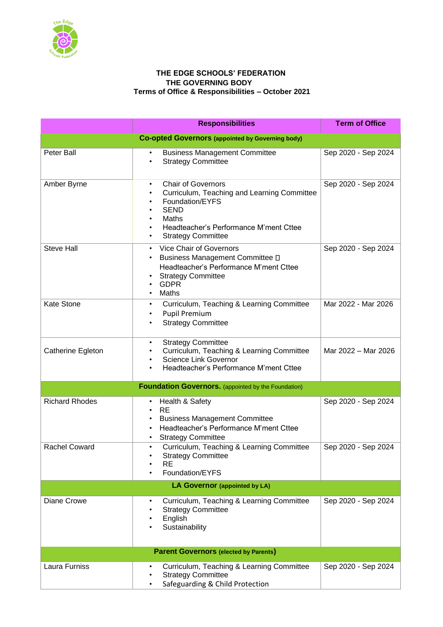

## **THE EDGE SCHOOLS' FEDERATION THE GOVERNING BODY Terms of Office & Responsibilities – October 2021**

|                                                         | <b>Responsibilities</b>                                                                                                                                                                                                             | <b>Term of Office</b> |  |
|---------------------------------------------------------|-------------------------------------------------------------------------------------------------------------------------------------------------------------------------------------------------------------------------------------|-----------------------|--|
| <b>Co-opted Governors (appointed by Governing body)</b> |                                                                                                                                                                                                                                     |                       |  |
| <b>Peter Ball</b>                                       | <b>Business Management Committee</b><br><b>Strategy Committee</b><br>$\bullet$                                                                                                                                                      | Sep 2020 - Sep 2024   |  |
| Amber Byrne                                             | <b>Chair of Governors</b><br>$\bullet$<br>Curriculum, Teaching and Learning Committee<br>٠<br>Foundation/EYFS<br>٠<br><b>SEND</b><br>Maths<br>$\bullet$<br>Headteacher's Performance M'ment Cttee<br><b>Strategy Committee</b><br>٠ | Sep 2020 - Sep 2024   |  |
| <b>Steve Hall</b>                                       | Vice Chair of Governors<br>$\bullet$<br>Business Management Committee D<br>Headteacher's Performance M'ment Cttee<br><b>Strategy Committee</b><br><b>GDPR</b><br>Maths                                                              | Sep 2020 - Sep 2024   |  |
| Kate Stone                                              | Curriculum, Teaching & Learning Committee<br>$\bullet$<br><b>Pupil Premium</b><br>$\bullet$<br><b>Strategy Committee</b>                                                                                                            | Mar 2022 - Mar 2026   |  |
| Catherine Egleton                                       | <b>Strategy Committee</b><br>$\bullet$<br>Curriculum, Teaching & Learning Committee<br><b>Science Link Governor</b><br>Headteacher's Performance M'ment Cttee                                                                       | Mar 2022 - Mar 2026   |  |
|                                                         | <b>Foundation Governors.</b> (appointed by the Foundation)                                                                                                                                                                          |                       |  |
| <b>Richard Rhodes</b>                                   | Health & Safety<br>$\bullet$<br><b>RE</b><br>$\bullet$<br><b>Business Management Committee</b><br>Headteacher's Performance M'ment Cttee<br><b>Strategy Committee</b>                                                               | Sep 2020 - Sep 2024   |  |
| <b>Rachel Coward</b>                                    | Curriculum, Teaching & Learning Committee<br>$\bullet$<br><b>Strategy Committee</b><br><b>RE</b><br>Foundation/EYFS                                                                                                                 | Sep 2020 - Sep 2024   |  |
| LA Governor (appointed by LA)                           |                                                                                                                                                                                                                                     |                       |  |
| Diane Crowe                                             | Curriculum, Teaching & Learning Committee<br><b>Strategy Committee</b><br>$\bullet$<br>English<br>Sustainability                                                                                                                    | Sep 2020 - Sep 2024   |  |
| <b>Parent Governors (elected by Parents)</b>            |                                                                                                                                                                                                                                     |                       |  |
| Laura Furniss                                           | Curriculum, Teaching & Learning Committee<br>$\bullet$<br><b>Strategy Committee</b><br>Safeguarding & Child Protection                                                                                                              | Sep 2020 - Sep 2024   |  |